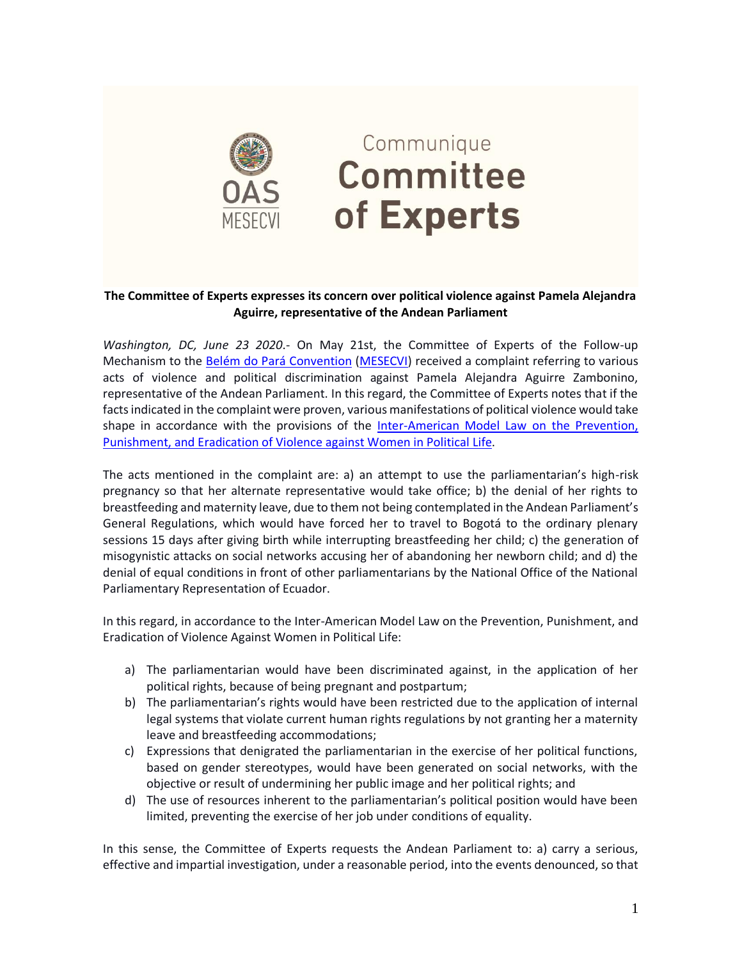

## Communique **Committee** of Experts

## **The Committee of Experts expresses its concern over political violence against Pamela Alejandra Aguirre, representative of the Andean Parliament**

*Washington, DC, June 23 2020*.- On May 21st, the Committee of Experts of the Follow-up Mechanism to the [Belém do Pará Convention](https://www.oas.org/en/mesecvi/convention.asp) [\(MESECVI\)](https://www.oas.org/en/mesecvi/about.asp) received a complaint referring to various acts of violence and political discrimination against Pamela Alejandra Aguirre Zambonino, representative of the Andean Parliament. In this regard, the Committee of Experts notes that if the facts indicated in the complaint were proven, various manifestations of political violence would take shape in accordance with the provisions of the Inter-American Model Law on the Prevention, Punishment, and Eradication of [Violence against Women in Political Life.](https://www.oas.org/es/cim/docs/ViolenciaPolitica-LeyModelo-EN.pdf)

The acts mentioned in the complaint are: a) an attempt to use the parliamentarian's high-risk pregnancy so that her alternate representative would take office; b) the denial of her rights to breastfeeding and maternity leave, due to them not being contemplated in the Andean Parliament's General Regulations, which would have forced her to travel to Bogotá to the ordinary plenary sessions 15 days after giving birth while interrupting breastfeeding her child; c) the generation of misogynistic attacks on social networks accusing her of abandoning her newborn child; and d) the denial of equal conditions in front of other parliamentarians by the National Office of the National Parliamentary Representation of Ecuador.

In this regard, in accordance to the Inter-American Model Law on the Prevention, Punishment, and Eradication of Violence Against Women in Political Life:

- a) The parliamentarian would have been discriminated against, in the application of her political rights, because of being pregnant and postpartum;
- b) The parliamentarian's rights would have been restricted due to the application of internal legal systems that violate current human rights regulations by not granting her a maternity leave and breastfeeding accommodations;
- c) Expressions that denigrated the parliamentarian in the exercise of her political functions, based on gender stereotypes, would have been generated on social networks, with the objective or result of undermining her public image and her political rights; and
- d) The use of resources inherent to the parliamentarian's political position would have been limited, preventing the exercise of her job under conditions of equality.

In this sense, the Committee of Experts requests the Andean Parliament to: a) carry a serious, effective and impartial investigation, under a reasonable period, into the events denounced, so that